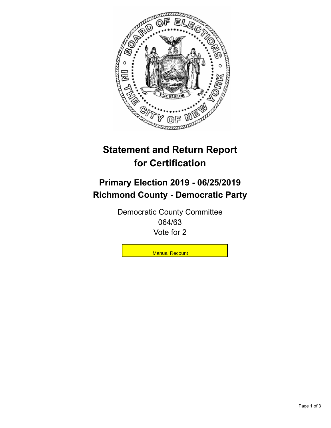

## **Statement and Return Report for Certification**

## **Primary Election 2019 - 06/25/2019 Richmond County - Democratic Party**

Democratic County Committee 064/63 Vote for 2

**Manual Recount**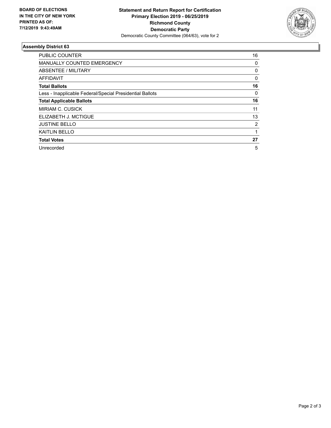

## **Assembly District 63**

| <b>PUBLIC COUNTER</b>                                    | 16       |
|----------------------------------------------------------|----------|
| <b>MANUALLY COUNTED EMERGENCY</b>                        | 0        |
| ABSENTEE / MILITARY                                      | 0        |
| AFFIDAVIT                                                | $\Omega$ |
| <b>Total Ballots</b>                                     | 16       |
| Less - Inapplicable Federal/Special Presidential Ballots | 0        |
| <b>Total Applicable Ballots</b>                          | 16       |
| <b>MIRIAM C. CUSICK</b>                                  | 11       |
| ELIZABETH J. MCTIGUE                                     | 13       |
| <b>JUSTINE BELLO</b>                                     | 2        |
| <b>KAITLIN BELLO</b>                                     |          |
| <b>Total Votes</b>                                       | 27       |
| Unrecorded                                               | 5        |